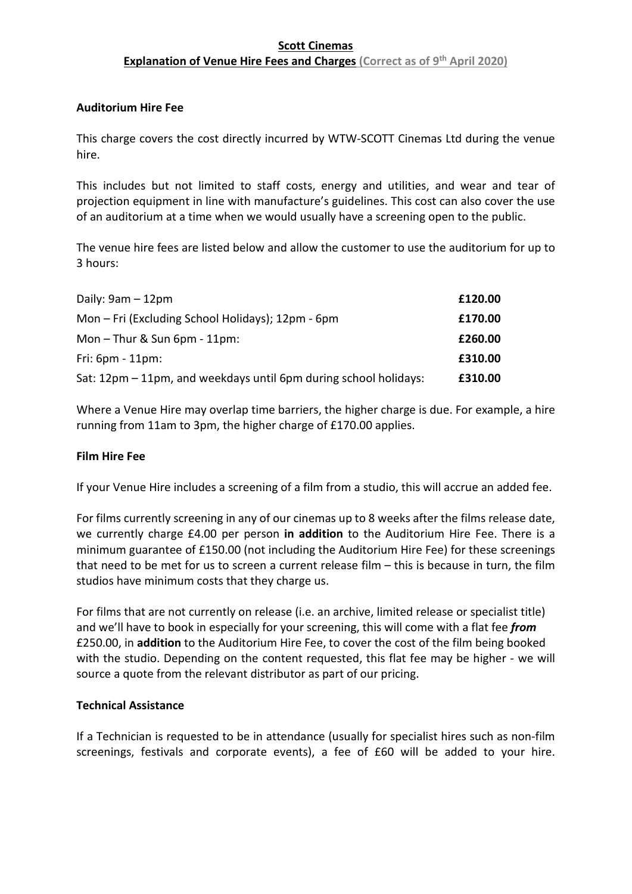# **Scott Cinemas Explanation of Venue Hire Fees and Charges (Correct as of 9<sup>th</sup> April 2020)**

#### **Auditorium Hire Fee**

This charge covers the cost directly incurred by WTW-SCOTT Cinemas Ltd during the venue hire.

This includes but not limited to staff costs, energy and utilities, and wear and tear of projection equipment in line with manufacture's guidelines. This cost can also cover the use of an auditorium at a time when we would usually have a screening open to the public.

The venue hire fees are listed below and allow the customer to use the auditorium for up to 3 hours:

| Daily: $9am - 12pm$                                              | £120.00 |
|------------------------------------------------------------------|---------|
| Mon - Fri (Excluding School Holidays); 12pm - 6pm                | £170.00 |
| Mon $-$ Thur & Sun 6pm $-$ 11pm:                                 | £260.00 |
| Fri: $6pm - 11pm$ :                                              | £310.00 |
| Sat: 12pm – 11pm, and weekdays until 6pm during school holidays: | £310.00 |

Where a Venue Hire may overlap time barriers, the higher charge is due. For example, a hire running from 11am to 3pm, the higher charge of £170.00 applies.

#### **Film Hire Fee**

If your Venue Hire includes a screening of a film from a studio, this will accrue an added fee.

For films currently screening in any of our cinemas up to 8 weeks after the films release date, we currently charge £4.00 per person **in addition** to the Auditorium Hire Fee. There is a minimum guarantee of £150.00 (not including the Auditorium Hire Fee) for these screenings that need to be met for us to screen a current release film – this is because in turn, the film studios have minimum costs that they charge us.

For films that are not currently on release (i.e. an archive, limited release or specialist title) and we'll have to book in especially for your screening, this will come with a flat fee *from* £250.00, in **addition** to the Auditorium Hire Fee, to cover the cost of the film being booked with the studio. Depending on the content requested, this flat fee may be higher - we will source a quote from the relevant distributor as part of our pricing.

#### **Technical Assistance**

If a Technician is requested to be in attendance (usually for specialist hires such as non-film screenings, festivals and corporate events), a fee of £60 will be added to your hire.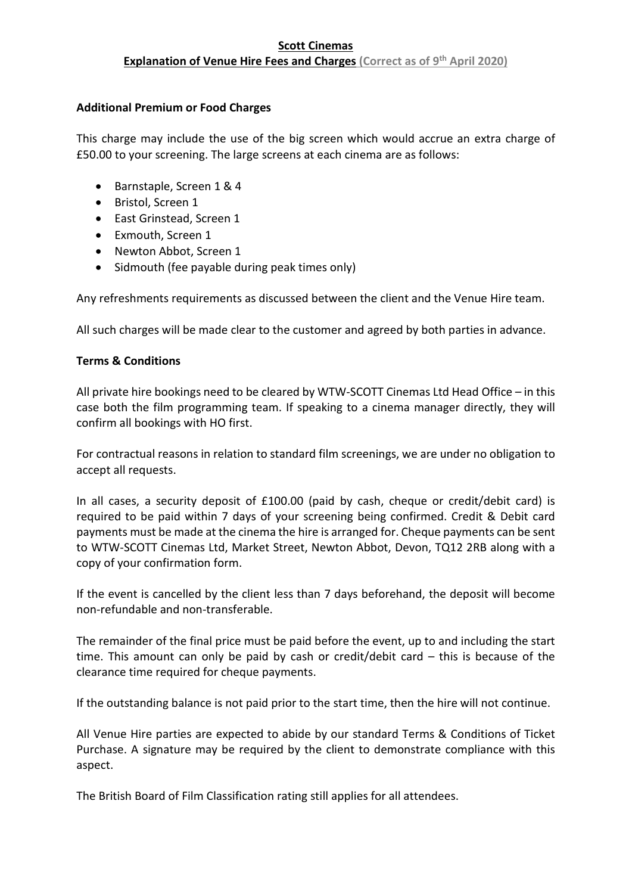## **Scott Cinemas Explanation of Venue Hire Fees and Charges (Correct as of 9<sup>th</sup> April 2020)**

## **Additional Premium or Food Charges**

This charge may include the use of the big screen which would accrue an extra charge of £50.00 to your screening. The large screens at each cinema are as follows:

- Barnstaple, Screen 1 & 4
- Bristol, Screen 1
- East Grinstead, Screen 1
- Exmouth, Screen 1
- Newton Abbot, Screen 1
- Sidmouth (fee payable during peak times only)

Any refreshments requirements as discussed between the client and the Venue Hire team.

All such charges will be made clear to the customer and agreed by both parties in advance.

# **Terms & Conditions**

All private hire bookings need to be cleared by WTW-SCOTT Cinemas Ltd Head Office – in this case both the film programming team. If speaking to a cinema manager directly, they will confirm all bookings with HO first.

For contractual reasons in relation to standard film screenings, we are under no obligation to accept all requests.

In all cases, a security deposit of £100.00 (paid by cash, cheque or credit/debit card) is required to be paid within 7 days of your screening being confirmed. Credit & Debit card payments must be made at the cinema the hire is arranged for. Cheque payments can be sent to WTW-SCOTT Cinemas Ltd, Market Street, Newton Abbot, Devon, TQ12 2RB along with a copy of your confirmation form.

If the event is cancelled by the client less than 7 days beforehand, the deposit will become non-refundable and non-transferable.

The remainder of the final price must be paid before the event, up to and including the start time. This amount can only be paid by cash or credit/debit card – this is because of the clearance time required for cheque payments.

If the outstanding balance is not paid prior to the start time, then the hire will not continue.

All Venue Hire parties are expected to abide by our standard Terms & Conditions of Ticket Purchase. A signature may be required by the client to demonstrate compliance with this aspect.

The British Board of Film Classification rating still applies for all attendees.